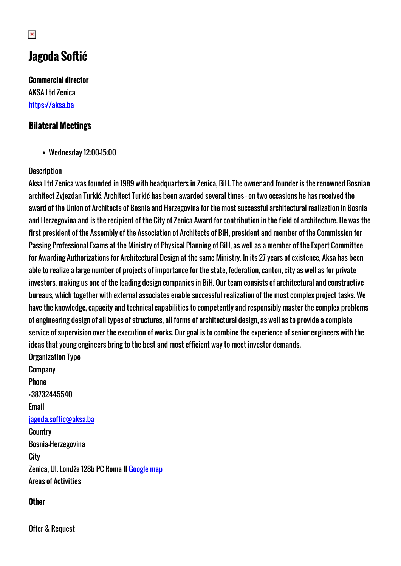# **Jagoda Softić**

**Commercial director** AKSA Ltd Zenica <https://aksa.ba>

### **Bilateral Meetings**

Wednesday 12:00-15:00

### **Description**

Aksa Ltd Zenica was founded in 1989 with headquarters in Zenica, BiH. The owner and founder is the renowned Bosnian architect Zvjezdan Turkić. Architect Turkić has been awarded several times - on two occasions he has received the award of the Union of Architects of Bosnia and Herzegovina for the most successful architectural realization in Bosnia and Herzegovina and is the recipient of the City of Zenica Award for contribution in the field of architecture. He was the first president of the Assembly of the Association of Architects of BiH, president and member of the Commission for Passing Professional Exams at the Ministry of Physical Planning of BiH, as well as a member of the Expert Committee for Awarding Authorizations for Architectural Design at the same Ministry. In its 27 years of existence, Aksa has been able to realize a large number of projects of importance for the state, federation, canton, city as well as for private investors, making us one of the leading design companies in BiH. Our team consists of architectural and constructive bureaus, which together with external associates enable successful realization of the most complex project tasks. We have the knowledge, capacity and technical capabilities to competently and responsibly master the complex problems of engineering design of all types of structures, all forms of architectural design, as well as to provide a complete service of supervision over the execution of works. Our goal is to combine the experience of senior engineers with the ideas that young engineers bring to the best and most efficient way to meet investor demands. Organization Type

Company Phone +38732445540 Email [jagoda.softic@aksa.ba](mailto:jagoda.softic@aksa.ba) **Country** Bosnia-Herzegovina **City** Zenica, Ul. Londža 128b PC Roma II [Google map](http://womenentrepreneurs3.talkb2b.net/home/map?city=Zenica&address=Ul. Londža 128b PC Roma II) Areas of Activities

#### **Other**

Offer & Request